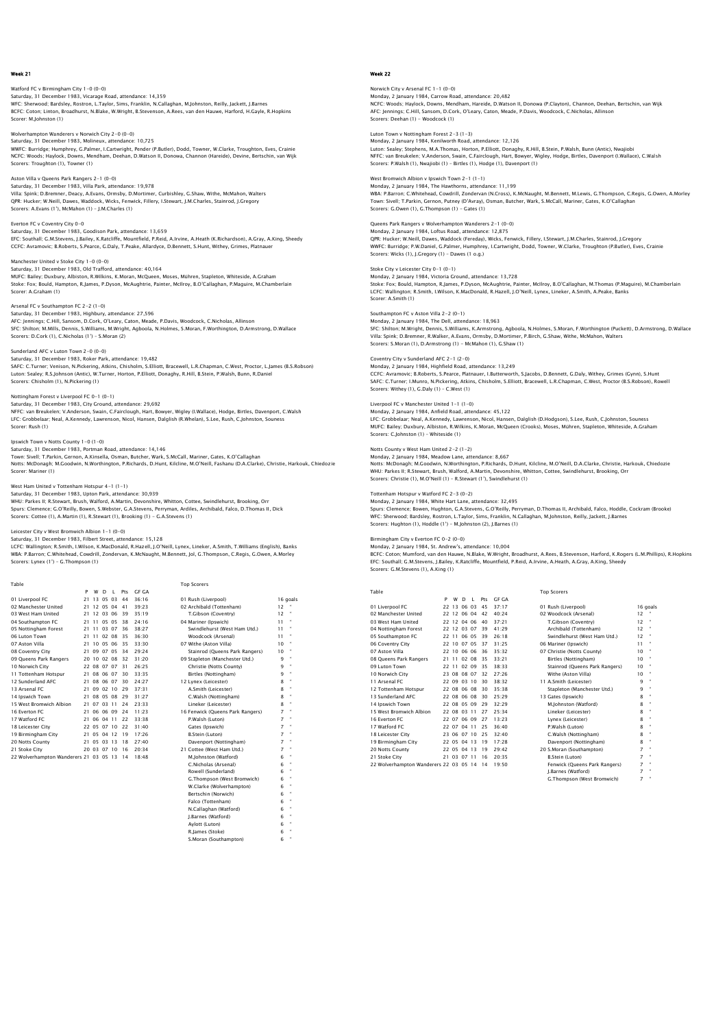# Watford FC v Birmingham City 1–0 (0–0)<br>Saturday, 31 December 1983, Vicarage Road, attendance: 14,359<br>WFC: Sherwood: Bardsley, Rostron, L.Taylor, Sims, Franklin, N.Callaghan, M.Johnston, Reilly, Jackett, J.Barnes BCFC: Coton; Linton, Broadhurst, N.Blake, W.Wright, B.Stevenson, A.Rees, van den Hauwe, Harford, H.Gayle, R.Hopkins Scorer: M.Johnston (1)

# Wolverhampton Wanderers v Norwich City 2-0 (0-0) Saturday, 31 December 1983, Molineux, attendance: 10,725

WWFC: Burridge; Humphrey, G.Palmer, I.Cartwright, Pender (P.Butler), Dodd, Towner, W.Clarke, Troughton, Eves, Crainie NCFC: Woods; Haylock, Downs, Mendham, Deehan, D.Watson II, Donowa, Channon (Hareide), Devine, Bertschin, van Wijk Scorers: Troughton (1), Towner (1)

# Aston Villa v Queens Park Rangers 2-1 (0-0)

Saturday, 31 December 1983, Villa Park, attendance: 19,978<br>Villa: Spink; D.Brenner, Deacy, A.Evans, Ormsby, D.Mortimer, Curbishley, G.Shaw, Withe, McMahon, Walters<br>QPR: Hucker, W.Neill, Dawes, Waddock, Wicks, Fenwick, Fill

## Everton FC v Coventry City 0-0

Scorer: LOA, Bould, TR<br>Scorer: A Graham (1)

Saturday, 31 December 1983, Goodison Park, attendance: 13,659 EFC: Southall; G.M.Stevens, J.Bailey, K.Ratcliffe, Mountfield, P.Reid, A.Irvine, A.Heath (K.Richardson), A.Gray, A.King, Sheedy<br>CCFC: Avramovic; B.Roberts, S.Pearce, G.Daly, T.Peake, Allardyce, D.Bennett, S.Hunt, Withey, G

# Manchester United v Stoke City 1-0 (0-0) Saturday, 31 December 1983, Old Trafford, attendance: 40,164 MUFC: Bailey; Duxbury, Albiston, R.Wilkins, K.Moran, McQueen, Moses, Mühren, Stapleton, Whiteside, A.Graham Stoke: Fox; Bould, Hampton, R.James, P.Dyson, McAughtrie, Painter, McIlroy, B.O'Callaghan, P.Maguire, M.Chamberlain

#### Arsenal FC v Southampton FC 2-2 (1-0)

Saturday, 31 December 1983, Highbury, attendance: 27,596<br>AFC: Jennings; C.Hill, Sansom, D.Cork, O'leary, Caton, Meade, P.Davis, Woodcock, C.Nicholas, Allinson<br>SFC: Shilton; M.Mills, Dennis, S.Williams, M.Wright, Agboola, N Scorers: D.Cork (1), C.Nicholas (1') – S.Moran (2)

# Sunderland AFC v Luton Town 2-0 (0-0)<br>Saturday, 21 December 1982, Beker Bark, attendance: 19.482

Saturday, 31 December 1983, Roker Park, attendance: 19,482<br>SAFC: C.Turner; Venison, N.Pickering, Atkins, Chisholm, S.Elliott, Bracewell, L.R.Chapman, C.West, Proctor, L.James (B.S.Robson)<br>Luton: Sealey; R.S.Johnson (Antic)

## Nottingham Forest v Liverpool FC 0-1 (0-1)

Saturday, 31 December 1983, City Ground, attendance: 29,692<br>NFFC: van Breukelen; V.Anderson, Swain, C.Fairclough, Hart, Bowyer, Wigley (I.Wallace), Hodge, Birtles, Davenport, C.Walsh<br>LFC: Grobbelaar: Neal, A.Kennedy, Lawre Scorer: Rush (1)

lpswich Town v Notts County 1–0 (1–0)<br>Saturday, 31 December 1983, Portman Road, attendance: 14,146<br>Town: Sivell; T.Parkin, Gernon, A.Kinsella, Osman, Butcher, Wark, S.McCall, Mariner, Gates, K.O'Callaghan<br>Notts: McDonagh; Scorer: Mariner (1)

West Ham United v Tottenham Hotspur 4–1 (1–1)<br>Saturday, 31 December 1983, Upton Park, attendance: 30,939<br>WHU: Parkes II; R.Stewart, Brush, Walford, A.Martin, Devonshire, Whitton, Cottee, Swindlehurst, Brooking, Orr Spurs: Clemence; G.O'Reilly, Bowen, S.Webster, G.A.Stevens, Perryman, Ardiles, Archibald, Falco, D.Thomas II, Dick Scorers: Cottee (1), A.Martin (1), R.Stewart (1), Brooking (1) - G.A.Stevens (1)

### Leicester City v West Brom

Saturday, 31 December 1983, Filbert Street, attendance: 15,128 LCFC: Wallington; R.Smith, I.Wilson, K.MacDonald, R.Hazell, J.O'Neill, Lynex, Lineker, A.Smith, T.Williams (English), Banks WBA: P.Barron; C.Whitehead, Cowdrill, Zondervan, K.McNaught, M.Bennett, Jol, G.Thompson, C.Regis, G.Owen, A.Morley Scorers: Lynex (1') – G.Thompson (1)

 Table Top Scorers P W D L Pts GF GA 01 Liverpool FC 21 13 05 03 44 36:16 01 Rush (Liverpool) 16 goals 02 Manchester United 21 12 05 04 41 39:23 02 Archibald (Tottenham) 12 " 03 West Ham United 21 12 03 06 39 35:19 T.Gibson (Coventry) 12 " 01 Liverpool FC 21 11 05 03 44 36:16 02<br>
02 Manchester United 21 12 05 04 41 39:26 02<br>
03 West Ham United 21 12 03 06 39 35:19<br>
04 Southampton FC 21 11 05 05 38 24:16 04<br>
05 Nortinon Parister 21 11 05 05 38 24:16 04<br>
04 No 05 Nottingham Forest 21 11 03 07 36 38:27<br>06 Luton Town 21 11 02 08 35 36:30 06 Luton Town 21 11 02 08 35 36:30 Woodcock (Arsenal) 11 " 07 Aston Villa 21 10 05 06 35 33:30 07 Withe (Aston Villa) 10 " 08 Coventry City 21 09 07 05 34 29:24 Stainrod (Queens Park Rangers) 10 " 09 Queens Park Rangers 20 10 02 08 32 31:20 09<br>10 Norwich City 22 08 07 07 31 26:25 10 Norwich City 22 08 07 07 31 26:25<br>
11 Tottenham Hotspur 2 1 08 06 07 30 24:27<br>
12 Sunderland AFC 21 08 06 07 30 24:27<br>
12 Sunderland AFC 21 08 06 07 30 24:27<br>
12 Sunderland AFC 21 09 02 10 29 37:31<br>
14 Spawich Town 2 1 16 Everton FC 2000 2014 11:23 16 Eenwick (Queens Park Rangers) 7<br>17 Watford FC 21 06 04 11 22 33:38 P. Walsh (Luton) 7<br>18 Leicester City 22 05 07 10 22 31:40 Gates (Ipswich) 7<br>19 Birmingham City 21 05 04 12 19 7:26 B. Stei 21 Stoke City 20 03 07 10 16 20:34 21 Cottee (West Ham Utd.) 7 " 22 Wolverhampton Wanderers 21 03 05 13 14 18:48 M.Johnston (Watford) 6 "

| 01 Rush (Liverpool)              |    | 16 go |
|----------------------------------|----|-------|
| 02 Archibald (Tottenham)         | 12 | ă     |
| T.Gibson (Coventry)              | 12 | ٠     |
| 04 Mariner (Ipswich)             | 11 | ٠     |
| Swindlehurst (West Ham Utd.)     | 11 |       |
| Woodcock (Arsenal)               | 11 | ٠     |
| 07 Withe (Aston Villa)           | 10 | ٠     |
| Stainrod (Queens Park Rangers)   | 10 | 8     |
| 09 Stapleton (Manchester Utd.)   | ۹  | ٠     |
| Christie (Notts County)          | 9  | ٠     |
| Birtles (Nottingham)             | ۹  | ٠     |
| 12 Lynex (Leicester)             | 8  | ٠     |
| A.Smith (Leicester)              | 8  | ٠     |
| C.Walsh (Nottingham)             | 8  | ă     |
| Lineker (Leicester)              | 8  | ă     |
| 16 Fenwick (Queens Park Rangers) | 7  | ă     |
| P.Walsh (Luton)                  | 7  | ٠     |
| Gates (Ipswich)                  | 7  | ٠     |
| <b>B.Stein (Luton)</b>           | 7  | ٠     |
| Davenport (Nottingham)           | 7  | ٠     |
| 21 Cottee (West Ham Utd.)        | 7  | ٠     |
| M.lohnston (Watford)             | 6  | ٠     |
| C.Nicholas (Arsenal)             | 6  | ٠     |
| Rowell (Sunderland)              | 6  |       |
| G.Thompson (West Bromwich)       | 6  | ٠     |
| W.Clarke (Wolverhampton)         | 6  | ٠     |
| Bertschin (Norwich)              | 6  | ٠     |
| Falco (Tottenham)                | 6  | ٠     |
| N.Callaghan (Watford)            | 6  | ٠     |
| J.Barnes (Watford)               | 6  | ٠     |
| Aylott (Luton)                   | 6  | 8     |
| R. James (Stoke)                 | 6  | ٠     |
| S.Moran (Southampton)            | 6  | ٠     |

# Week 22

## Norwich City v Arsenal FC 1-1 (0-0) Monday, 2 January 1984, Carrow Road, attendance: 20,482 NCFC: Woods; Haylock, Downs, Mendham, Hareide, D.Watson II, Donowa (P.Clayton), Channon, Deehan, Bertschin, van Wijk AFC: Jennings; C.Hill, Sansom, D.Cork, O'Leary, Caton, Meade, P.Davis, Woodcock, C.Nicholas, Allinson Scorers: Deehan (1) - Woodcock (1)

# Luton Town v Nottingham Forest 2-3 (1-3) Monday, 2 January 1984, Kenilworth Road, attendance: 12,126

Luton: Sealey: Stephens, M.A.Thomas, Horton, P.Elliott, Donaghy, R.Hill, B.Stein, P.Walsh, Bunn (Antic), Nwajiobi<br>NFFC: van Breukelen; V.Anderson, Swain, C.Fairclough, Hart, Bowyer, Wigley, Hodge, Birtles, Davenport (I.Wal

# West Bromwich Albion v Ipswich Town 2-1 (1-1)

Monday, 2 January 1984, The Hawthorns, attendance: 11,199<br>WBA: P.Barron; C.Whitehead, Cowdrill, Zondervan (N.Cross), K.McNaught, M.Bennett, M.Lewis, G.Thompson, C.Regis, G.Owen, A.Morley<br>Town: Siveli; T.Parkin, Gernon, Put

# Queens Park Rangers v Wolverhampton Wanderers 2-1 (0-0)

Monday, 2 January 1984, Loftus Road, attendance: 12,875 و دون المستقل العربي المستقل المستقل المستقل المستقل المستقل المستقل المستقل المستقل المستقل المستقل المستقل ا<br>QPR: Hucker; W.Neill, Dawes, Waddock (Fereday), Wicks, Fenwick, Fillery, I.Stewart, J.M.Charles, Stainrod, J.G WWFC: Burridge; P.W.Daniel, G.Palmer, Humphrey, I.Cartwright, Dodd, Towner, W.Clarke, Troughton (P.Butler), Eves, Crainie Scorers: Wicks (1), J.Gregory (1) – Dawes (1 o.g.)

## Stoke City v Leicester City 0-1 (0-1)

Monday, 2 January 1984, Victoria Ground, attendance: 13,728 Stoke: Fox; Bould, Hampton, R.James, P.Dyson, McAughtrie, Painter, McIlroy, B.O'Callaghan, M.Thomas (P.Maguire), M.Chamberlair<br>LCFC: Wallington; R.Smith, I.Wilson, K.MacDonald, R.Hazell, J.O'Neill, Lynex, Lineker, A.Smith, Scorer: A.Smith (1)

#### Southampton FC v Aston Villa 2-2 (0-1)

Monday, 2 January 1984, The Dell, attendance: 18,963<br>SFC: Shilton; M.Wright, Dennis, S.Williams, K.Armstrong, Agboola, N.Holmes, S.Moran, F.Worthington (Puckett), D.Armstrong, D.Wallace<br>Villa: Spiniç: D.Bremner, R.Walker,

Coventry City v Sunderland AFC 2–1 (2–0)<br>Monday, 2 January 1984, Highfield Road, attendance: 13,249<br>CCFC: Avramovic; B.Roberts, S.Pearce, Platnauer, I.Butterworth, S.Jacobs, D.Bennett, G.Daly, Withey, Grimes (Gynn), S.Hunt Scorers: Withey (1), G.Daly (1) – C.West (1)

# Liverpool FC v Manchester United 1-1 (1-0)

Monday, 2 January 1984, Anfield Road, attendance: 45,122 LFC: Grobbelaar; Neal, A.Kennedy, Lawrenson, Nicol, Hansen, Dalglish (D.Hodgson), S.Lee, Rush, C.Johnston, Souness MUFC: Bailey; Duxbury, Albiston, R.Wilkins, K.Moran, McQueen (Crooks), Moses, Mühren, Stapleton, Whiteside, A.Graham Scorers: C.Johnston (1) – Whiteside (1)

# Notts County v West Ham United 2-2 (1-2)

Monday, 2 January 1984, Meadow Lane, attendance: 8,667 Notts: McDonagh; M.Goodwin, N.Worthington, P.Richards, D.Hunt, Kilcline, M.O'Neill, D.A.Clarke, Christie, Harkouk, Chiedozie WHU: Parkes II; R.Stewart, Brush, Walford, A.Martin, Devonshire, Whitton, Cottee, Swindlehurst, Brooking, Orr Scorers: Christie (1), M.O'Neill (1) – R.Stewart (1'), Swindlehurst (1)

#### Tottenham Hotspur v Watford FC 2-3 (0-2) Monday, 2 January 1984, White Hart Lane, attendance: 32,495

Spurs: Clemence; Bowen, Hughton, G.A.Stevens, G.O'Reilly, Perryman, D.Thomas II, Archibald, Falco, Hoddle, Cockram (Brooke) WFC: Sherwood; Bardsley, Rostron, L.Taylor, Sims, Franklin, N.Callaghan, M.Johnston, Reilly, Jackett, J.Barnes Scorers: Hughton (1), Hoddle (1') – M.Johnston (2), J.Barnes (1)

### Birmingham City v Everton FC 0-2 (0-0)

Monday, 2 January 1984, St. Andrew's, attendance: 10,004

BCFC: Coton; Mumford, van den Hauwe, N.Blake, W.Wright, Broadhurst, A.Rees, B.Stevenson, Harford, K.Rogers (L.M.Phillips), R.Hopkins<br>EFC: Southall; C.M.Stevens, J.Bailey, K.Ratcliffe, Mountfield, P.Reid, A.Irvine, A.Heath,

| Table                                         |    |       |                |       |     |       | <b>Top Scorers</b>                       |
|-----------------------------------------------|----|-------|----------------|-------|-----|-------|------------------------------------------|
|                                               | P  | W     | D              | Τ.    | Prs | GE GA |                                          |
| 01 Liverpool FC                               | 22 | 13    | 06             | 03    | 45  | 37:17 | 01 Rush (Liverpool)<br>16qc              |
| 02 Manchester United                          | 22 | 12    | 06 04          |       | 42  | 40.24 | 12<br>02 Woodcock (Arsenal)              |
| 03 West Ham United                            |    |       | 22 12 04 06    |       | 40  | 37.21 | 12<br>T.Gibson (Coventry)                |
| 04 Nottingham Forest                          |    |       | 22 12 03 07    |       | 39  | 41:29 | 12<br>Archibald (Tottenham)              |
| 05 Southampton FC                             |    | 22 11 | 06 05          |       | 39  | 26:18 | 12<br>Swindlehurst (West Ham Utd.)       |
| 06 Coventry City                              |    | 22 10 |                | 07 05 | 37  | 31.25 | 06 Mariner (Ipswich)<br>11               |
| 07 Aston Villa                                |    | 22 10 | 06 06          |       | 36  | 35:32 | 10<br>07 Christie (Notts County)         |
| 08 Oueens Park Rangers                        | 21 | 11    | 0 <sup>2</sup> | 08    | 35  | 33.21 | 10<br>Birtles (Nottingham)               |
| 09 Luton Town                                 | 22 | 11    |                | 02 09 | 35  | 38:33 | 10<br>Stainrod (Queens Park Rangers)     |
| 10 Norwich City                               |    |       | 23 08 08 07    |       | 32  | 27.26 | 10<br>Withe (Aston Villa)                |
| 11 Arsenal FC                                 |    |       | 22 09 03 10    |       | 30  | 38.32 | 9<br>11 A.Smith (Leicester)              |
| 12 Tottenham Hotspur                          |    |       | 22 08 06 08    |       | 30  | 35:38 | 9<br>Stapleton (Manchester Utd.)         |
| 13 Sunderland AFC                             |    | 22 08 | 06 08          |       | 30  | 25:29 | 8<br>13 Gates (Ipswich)                  |
| 14 Ipswich Town                               |    |       | 22 08 05 09    |       | 29  | 32.29 | 8<br>M.Johnston (Watford)                |
| 15 West Bromwich Albion                       |    | 22 08 | 03             | 11    | 27  | 25:34 | 8<br>Lineker (Leicester)                 |
| 16 Everton EC                                 |    | 22.07 |                | 06 09 | 27  | 13.23 | 8<br>Lynex (Leicester)                   |
| 17 Watford FC                                 |    | 22 07 | 04             | 11    | 25  | 36:40 | 8<br>P.Walsh (Luton)                     |
| 18 Leicester City                             |    |       | 23 06 07 10    |       | 25  | 32:40 | 8<br>C.Walsh (Nottingham)                |
| 19 Birmingham City                            |    |       | 22 05 04 13    |       | 19  | 17.28 | 8<br>Davenport (Nottingham)              |
| 20 Notts County                               |    | 22 05 | 04             | 13    | 19  | 29:42 | 7<br>20 S.Moran (Southampton)            |
| 21 Stoke City                                 |    |       | 21 03 07 11    |       | 16  | 20.35 | $\overline{7}$<br><b>B.Stein (Luton)</b> |
| 23 Website - The History 23 03 05 14 14 10-50 |    |       |                |       |     |       | ۰.<br>Francisk (Orresos Badi Bananes)    |

02 Woodcock (Arsenal) 12 03 Messing Messing (Coventry) 12<br>Archibald (Tottenham) 12 09 Birtles (Nottingham) 10<br>Stainrod (Queens Park Rangers) 10 09 Britis (Nothingham)<br>
0 Stainrod (Queens Park Rangers) 10<br>
10 " 14 Ipswich Town 22 08 05 09 29 32:29 M.Johnston (Watford) 8 " 15 West Brown Albion 2017 18 C.Walsh (Nottingham) 8<br>18 Davennort (Nottingham) 8 Davenport (Nottingham) 22 Wolverhampton Wanders 22 03 05 14 14 19:50 Fenwick (Queens Park Rangers) J.Barnes (Watford) 7 " G.Thompson (West Bromwich) 7 "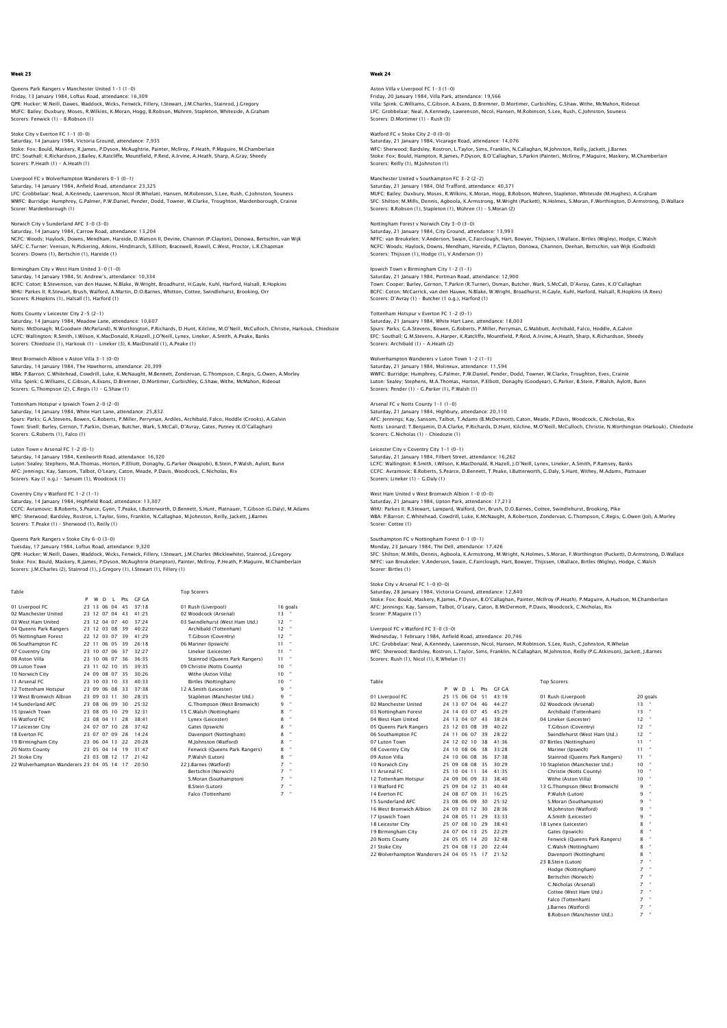Queens Park Rangers v Manchester United 1–1 (1–0)<br>Friday, 13 January 1984, Loftus Road, attendance: 16,309<br>QPR: Hucker; W.Neill, Dawes, Waddock, Wicks, Fenwick, Fillery, I.Stewart, J.M.Charles, Stainrod, J.Gregory MUFC: Bailey; Duxbury, Moses, R.Wilkins, K.Moran, Hogg, B.Robson, Mühren, Stapleton, Whiteside, A.Graham Scorers: Fenwick (1) - B.Robson (1)

# Stoke City v Everton FC 1-1 (0-0) Saturday, 14 January 1984, Victoria Ground, attendance: 7,935 Stoke: Fox; Bould, Maskery, R.James, P.Dyson, McAughtrie, Painter, McIlroy, P.Heath, P.Maguire, M.Chamberlain EFC: Southall; K.Richardson, J.Bailey, K.Ratcliffe, Mountfield, P.Reid, A.Irvine, A.Heath, Sharp, A.Gray, Sheedy Scorers: P.Heath (1) - A.Heath (1)

Liverpool FC v Wolverhampton Wanderers 0-1 (0-1) Saturday, 14 January 1984, Anfield Road, attendance: 23,325

LFC: Grobbelaar; Neal, A.Kennedy, Lawrenson, Nicol (R.Whelan), Hansen, M.Robinson, S.Lee, Rush, C.Johnston, Souness<br>WWFC: Burridge; Humphrey, G.Palmer, P.W.Daniel, Pender, Dodd, Towner, W.Clarke, Troughton, Mardenborough,

Norwich City v Sunderland AFC 3-0 (3-0) Saturday, 14 January 1984, Carrow Road, attendance: 13,204<br>NCFC: Woods; Haylock, Downs, Mendham, Hareide, D.Watson II, Devine, Channon (P.Clayton), Donowa, Bertschin, van Wijk<br>SAFC: C.Turner; Venison, N.Pickering, Atkins,

Birmingham City v West Ham United 3-0 (1-0) Saturday, 14 January 1984, St. Andrew's, attendance: 10,334<br>BCFC: Coton; B.Stevenson, van den Hauwe, N.Blake, W.Wright, Broadhurst, H.Gayle, Kuhl, Harford, Halsall, R.Hopkins<br>WHU: Parkes II; R.Stewart, Brush, Walford, A.Ma Scorers: R.Hopkins (1), Halsall (1), Harford (1)

#### Notts County v Leicester City 2-5 (2-1)

Saturday, 14 January 1984, Meadow Lane, attendance: 10,607<br>Notts: McDonagh; M.Goodwin (McParland), N.Worthington, P.Richards, D.Hunt, Kilcline, M.O'Neill, McCulloch, Christie, Harkouk, Chiedozie<br>LCFC: Wallington; R.Smith,

West Bromwich Albion v Aston Villa 3–1 (0–0)<br>Saturday, 14 January 1984, The Hawthorns, attendance: 20,399<br>WBA: P.Barron; C.Whitehead, Cowdrill, Luke, K.McNaught, M.Bennett, Zondervan, G.Thompson, C.Regis, G.Owen, A.Morley<br> Scorers: G.Thompson (2), C.Regis (1) - G.Shaw (1)

# Tottenham Hotspur v Ipswich Town 2-0 (2-0)

Saturday, 14 January 1984, White Hart Lane, attendance: 25,832<br>Spurs: Parks; G.A.Stevens, Bowen, G.Roberts, P.Miller, Perryman, Ardiles, Archibald, Falco, Hoddle (Crooks), A.Galvin<br>Town: Sivell; Burley, Gernon, T.Parkin, O Scorers: G.Roberts (1), Falco (1)

Luton Town v Arsenal FC 1–2 (0–1)<br>Saturday, 14 January 1984, Kenilworth Road, attendance: 16,320<br>Luton: Sealey: Stephens, M.A.Thomas, Horton, P.Elliott, Donaghy, G.Parker (Nwajiobi), B.Stein, P.Walsh, Aylott, Bunn AFC: Jennings; Kay, Sansom, Talbot, O'Leary, Caton, Meade, P.Davis, Woodcock, C.Nicholas, Rix Scorers: Kay (1 o.g.) - Sansom (1), Woodcock (1)

## Coventry City v Watford FC 1-2 (1-1)

Saturday, 14 January 1984, Highfield Road, attendance: 13,307 CCFC: Avramovic; B.Roberts, S.Pearce, Gynn, T.Peake, I.Butterworth, D.Bennett, S.Hunt, Platnauer, T.Gibson (G.Daly), M.Adams WFC: Sherwood; Bardsley, Rostron, L.Taylor, Sims, Franklin, N.Callaghan, M.Johnston, Reilly, Jackett, J.Barnes Scorers: T.Peake (1) – Sherwood (1), Reilly (1)

#### Queens Park Rangers v Stoke City 6-0 (3-0) Tuesday, 17 January 1984, Loftus Road, attendance: 9,320

QPR: Hucker; W.Neill, Dawes, Waddock, Wicks, Fenwick, Fillery, I.Stewart, J.M.Charles (Micklewhite), Stainrod, J.Gregory<br>Stoke: Fox; Bould, Maskery, R.James, P.Dyson, MCAughtrie (Hampton), Painter, McIlroy, P.Heath, P.Magu

 Table Top Scorers P W D L Pts GF GA 01 Liverpool FC 23 13 06 04 45 37:18 01 Rush (Liverpool) 16 goals 02 Manchester United 23 12 07 04 43 41:25 02 Woodcock (Arsenal) 13 " 03 West Ham United 23 12 04 07 40 37:24 03 Swindlehurst (West Ham Utd.) 12 " 02 Manchester United 23 12 03 08 49 41:25 02 02 03 08 09 406 42 12 03 08 19 42 12 12 03 08 19 40:22 Archibald (Tottenham) 12 °<br>
04 Queens Park Rangers 23 12 03 08 39 40:22 Archibald (Tottenham) 12 °<br>
06 Southampton Forst 2 05 Nottingham Forest 22 12 03 07 39 41:29 T.Gibson (Coventry) 12 " 06 Southampton FC 22 11 06 05 39 26:18 06 Mariner (Ipswich) 11 " 07 Coventry City 23 10 07 06 37 32:27 Lineker (Leicester) 11 " 08 Aston Villa 23 10 06 07 36 36:35 Stainrod (Queens Park Rangers) 11<br>08 Aston Villa 23 10 06 07 36 36:35 Stainrod (Queens Park Rangers) 11<br>09 Christie (Norts County) 10 09 Luton Town 23 11 02 10 35 39:35 09 Christie (Notts County) 10<br>
10 Notwich City 24 09 08 07 35 30:26 09 Witte (Aston Villa) 10<br>
11 Arsenal FC 23 10 03 10 33 40:33 10:48 Birles (Nottingham) 10<br>
12 Tottenham Hotspur 23 09 10 Norwich City 24 09 08 07 35 30:26 Withe (Aston Villa) 10 " 11 Arsenal FC 23 10 03 10 33 40:33 Birtles (Nottingham) 10 " 12 Tottenham Hotspur 23 09 06 08 33 37:38 12 A.Smith (Leicester) 9 " 13 West Bromwich Albion 23 09 03 11 30 28:35 Stapleton (Manchester Utd.) 9 " 14 Sunderland AFC 23 08 06 09 30 25:32 G.Thompson (West Bromwich)<br>
15 Jesuvich Town 20 30 8 05 10 29 32:31 15 C.Walsh (Nottingham)<br>
16 Watford FC 23 08 04 11 28 38:41 Lynex (Leicester)<br>
17 Leicester City 24 07 07 10 28 37 15 | Ewith Town 15 | 2008 | 2009 | 22:30 | 23:30 | 15 | C.Walsh (Nottingham) | 28:30 | 15 | 2010 | 2010 | 2010<br>16 | Valence | 23:30 | 24:07 | 27:30 | 28:31 | 28:31 | 27:21 | Cates (Ipswich) | 28:31 | 28:21 | 28:22 | 28:2<br>1 20 Notts County 23 05 04 14 19 31:47 Fenwick (Queens Park Rangers) 8 " 21 Stoke City 23 03 08 12 17 21:42 P.Walsh (Luton) 8 " 22 Wolverhampton Wanderers 23 04 05 14 17 20:50 22 J.Barnes (Watford) 7 " Bertschin (Norwich) 7 " S.Moran (Southampton) 7 "

B.Stein (Luton) 7 "<br>Ealco (Tottenham) 7 " **Falco (Tottenham)** 

# Week 24

# Aston Villa v Liverpool FC 1–3 (1–0)<br>Friday, 20 January 1984, Villa Park, attendance: 19,566<br>Villa: Spink; G.Williams, C.Gibson, A.Evans, D.Bremner, D.Mortimer, Curbishley, G.Shaw, Withe, McMahon, Rideou LFC: Grobbelaar; Neal, A.Kennedy, Lawrenson, Nicol, Hansen, M.Robinson, S.Lee, Rush, C.Johnston, Souness Scorers: D.Mortimer (1) – Rush (3)

Watford FC v Stoke City 2-0 (0-0) Saturday, 21 January 1984, Vicarage Road, attendance: 14,076

WFC: Sherwood; Bardsley, Rostron, L.Taylor, Sims, Franklin, N.Callaghan, M.Johnston, Reilly, Jackett, J.Barnes<br>Stoke: Fox; Bould, Hampton, R.James, P.Dyson, B.O'Callaghan, S.Parkin (Painter), McIlroy, P.Maquire, Maskery, M Scorers: Reilly (1), M.Johnston (1)

# Manchester United v Southampton FC 3-2 (2-2)

Saturday, 21 January 1984, Old Trafford, attendance: 40,371<br>MUFC: Bailey; Duxbury, Moses, R.Wilkins, K.Moran, Hogg, B.Robson, Mühren, Stapleton, Whiteside (M.Hughes), A.Graham<br>SFC: Shilton; M.Mills, Dennis, Agboola, K.Arms

# Nottingham Forest v Norwich City 3-0 (3-0)

Saturday, 21 January 1984, City Ground, attendance: 13,993 NFFC: van Breukelen; V.Anderson, Swain, C.Fairclough, Hart, Bowyer, Thijssen, I.Wallace, Birtles (Wigley), Hodge, C.Walsh<br>NCFC: Woods; Haylock, Downs, Mendham, Hareide, P.Clayton, Donowa, Channon, Deehan, Bertschin, van Wi

# Ipswich Town v Birmingham City 1-2 (1-1)

Saturday, 21 January 1984, Portman Road, attendance: 12,900 Town: Cooper; Burley, Gernon, T.Parkin (R.Turner), Osman, Butcher, Wark, S.McCall, D'Avray, Gates, K.O'Callaghan<br>BCFC: Coton; McCarrick, van den Hauwe, N.Blake, W.Wright, Broadhurst, H.Gayle, Kuhl, Harford, Halsall, R.Hopk Scorers: D'Avray (1) – Butcher (1 o.g.), Harford (1)

#### Tottenham Hotspur v Everton FC 1-2 (0-1)

Saturday, 21 January 1984, White Hart Lane, attendance: 18,003<br>Spurs: Parks; G.A.Stevens, Bowen, G.Roberts, P.Miller, Perryman, G.Mabbutt, Archibald, Falco, Hoddle, A.Galvin<br>EFC: Southall; G.M.Stevens, A.Harper, K.Ratcliff Scorers: Archibald (1) - A.Heath (2)

Wolverhampton Wanderers v Luton Town 1–2 (1–1)<br>Saturday, 21 January 1984, Molineux, attendance: 11,594<br>WWFC: Buridge; Humphrey, G.Palmer, P.W.Daniel, Pender, Dodd, Towner, W.Clarke, Troughton, Eves, Crainie<br>Luton: Sealey: Scorers: Pender (1) - G.Parker (1), P.Walsh (1)

Arsenal FC v Notts County 1–1 (1–0)<br>Saturday, 21 January 1984, Highbury, attendance: 20,110<br>AFC: Jennings; Kay, Sansom, Talbot, T.Adams (B.McDermott), Caton, Meade, P.Davis, Woodcock, C.Nicholas, Rix<br>Notts: Leonard; T.Benj Scorers: C.Nicholas (1) – Chiedozie (1)

# Leicester City v Coventry City 1-1 (0-1)

Saturday, 21 January 1984, Filbert Street, attendance: 16,262 LCFC: Wallington; R.Smith, I.Wilson, K.MacDonald, R.Hazell, J.O'Neill, Lynex, Lineker, A.Smith, P.Ramsey, Banks CCFC: Avramovic; B.Roberts, S.Pearce, D.Bennett, T.Peake, I.Butterworth, G.Daly, S.Hunt, Withey, M.Adams, Platnauer Scorers: Lineker (1) - G.Daly (1)

#### West Ham United v West Bromwich Albion 1-0 (0-0) Saturday, 21 January 1984, Upton Park, attendance: 17,213

WHU: Parkes II; R.Stewart, Lampard, Walford, Orr, Brush, D.O.Barnes, Cottee, Swindlehurst, Brooking, Pike<br>WBA: P.Barron; C.Whitehead, Cowdrill, Luke, K.McNaught, A.Robertson, Zondervan, G.Thompson, C.Regis, G.Owen (Jol), A

## Southampton FC v Nottingham Forest 0-1 (0-1)

Monday, 23 January 1984, The Dell, attendance: 17,426

SFC: Shilton; M.Mills, Dennis, Agboola, K.Armstrong, M.Wright, N.Holmes, S.Moran, F.Worthington (Puckett), D.Armstrong, D.Wallace<br>NFFC: van Breukelen; V.Anderson, Swain, C.Fairclough, Hart, Bowyer, Thijssen, I.Wallace, Bir

#### Stoke City v Arsenal FC 1-0 (0-0)

Saturday, 28 January 1984, Victoria Ground, attendance: 12,840<br>Stoke: Fox; Bould, Maskery, R.James, P.Dyson, B.O'Callaghan, Painter, McIlroy (P.Heath), P.Maguire, A.Hudson, M.Chamberlair<br>AFC: Jennings; Kay, Sansom, Talbot,

# Liverpool FC v Watford FC 3-0 (3-0)

Wednesday, 1 February 1984, Anfield Road, attendance: 20,746<br>LFC: Grobbelaar, Neal, A.Kennedy, Lawrenson, Nicol, Hansen, M.Robinson, S.Lee, Rush, C.Johnston, R.Whelan<br>WFC: Sherwood; Bardsley, Rostron, L.Taylor, Sims, Frank

| - - - |  |  |  |
|-------|--|--|--|

| Table                                  |   |        |             |       |     |              | <b>Top Scorers</b>             |                 |              |
|----------------------------------------|---|--------|-------------|-------|-----|--------------|--------------------------------|-----------------|--------------|
|                                        | P | W      | D           |       | Pts | <b>GF GA</b> |                                |                 |              |
| 01 Liverpool FC                        |   |        | 25 15 06 04 |       | 51  | 43.19        | 01 Rush (Liverpool)            |                 | 20 goals     |
| 02 Manchester United                   |   |        | 24 13 07 04 |       | 46  | 44.27        | 02 Woodcock (Arsenal)          | 13              |              |
| 03 Nottingham Forest                   |   |        | 24 14 03 07 |       | 45  | 45:29        | Archibald (Tottenham)          | 13              | $\mathbf{u}$ |
| 04 West Ham United                     |   |        | 24 13 04 07 |       | 43  | 38.24        | 04 Lineker (Leicester)         | 12              | ×            |
| 05 Oueens Park Rangers                 |   |        | 23 12 03 08 |       | 39  | 40.22        | T.Gibson (Coventry)            | 12              | ×            |
| 06 Southampton FC                      |   |        | 24 11 06 07 |       | 39  | 28:22        | Swindlehurst (West Ham Utd.)   | 12              | ×            |
| 07 Luton Town                          |   |        | 24 12 02 10 |       | 38  | 41:36        | 07 Birtles (Nottingham)        | 11              |              |
| 08 Coventry City                       |   |        | 24 10 08 06 |       | 38  | 33:28        | Mariner (Ipswich)              | 11              | ×            |
| 09 Aston Villa                         |   |        | 24 10 06 08 |       | 36  | 37.38        | Stainrod (Oueens Park Rangers) | 11              |              |
| 10 Norwich City                        |   |        | 25 09 08 08 |       | 35  | 30:29        | 10 Stapleton (Manchester Utd.) | 10              | ×            |
| 11 Arsenal FC                          |   |        | 25 10 04 11 |       | 34  | 41:35        | Christie (Notts County)        | 10 <sup>°</sup> |              |
| 12 Tottenham Hotspur                   |   |        | 24 09 06 09 |       | 33  | 38:40        | Withe (Aston Villa)            | 10              | ×            |
| 13 Watford FC                          |   | 25.09. |             | 04 12 | 31  | 40:44        | 13 G.Thompson (West Bromwich)  | 9               | ×            |
| 14 Everton FC                          |   |        | 24 08 07 09 |       | 31  | 16:25        | P.Walsh (Luton)                | q               | ×            |
| 15 Sunderland AFC                      |   |        | 23 08 06 09 |       | 30  | 25:32        | S.Moran (Southampton)          | q               | ×            |
| 16 West Bromwich Albion                |   |        | 24 09 03 12 |       | 30  | 28:36        | M.Johnston (Watford)           | q               | $\mathbf{u}$ |
| 17 Ipswich Town                        |   |        | 24 08 05 11 |       | 29  | 33:33        | A.Smith (Leicester)            | q               | ×            |
| 18 Leicester City                      |   |        | 25 07 08 10 |       | 29  | 38:43        | 18 Lynex (Leicester)           | 8               | $\mathbf{u}$ |
| 19 Birmingham City                     |   |        | 24 07 04 13 |       | 25  | 22.29        | Gates (Ipswich)                | 8               | $\mathbf{u}$ |
| 20 Notts County                        |   |        | 24 05 05 14 |       | 20  | 32:48        | Fenwick (Queens Park Rangers)  | 8               | $\mathbf{u}$ |
| 21 Stoke City                          |   |        | 25 04 08 13 |       | 20  | 22:44        | C.Walsh (Nottingham)           | 8               | $\mathbf{u}$ |
| 22 Wolverhampton Wanderers 24 04 05 15 |   |        |             |       | 17  | 21:52        | Davenport (Nottingham)         | 8               | $\mathbf{u}$ |
|                                        |   |        |             |       |     |              | 22 R Stain (Luton)             | 7               | $\mathbf{u}$ |

| 01 Rush (Liverpool)            | 20 qoa    |    |
|--------------------------------|-----------|----|
| 02 Woodcock (Arsenal)          | 13        |    |
| Archibald (Tottenham)          | 13        | u, |
| 04 Lineker (Leicester)         | 12        | ×  |
| T.Gibson (Coventry)            | $12^{12}$ | u. |
| Swindlehurst (West Ham Utd.)   | 12        |    |
| 07 Birtles (Nottingham)        | 11        | ×  |
| Mariner (Ipswich)              | 11        | ×  |
| Stainrod (Oueens Park Rangers) | 11        | ×  |
| 10 Stapleton (Manchester Utd.) | 10        | ×  |
| Christie (Notts County)        | 10        | ×  |
| Withe (Aston Villa)            | 10        | ×  |
| 13 G.Thompson (West Bromwich)  | 9         | ×  |
| P.Walsh (Luton)                | 9         | ×, |
| S.Moran (Southampton)          | q         | ×, |
| M.Iohnston (Watford)           | q         | ×, |
| A.Smith (Leicester)            | 9         | ×, |
| 18 Lynex (Leicester)           | 8         | ×, |
| Gates (Ipswich)                | 8         | ×, |
| Fenwick (Oueens Park Rangers)  | 8         | ×, |
| C.Walsh (Nottingham)           | 8         | ×, |
| Davenport (Nottingham)         | 8         | ×, |
| 23 B.Stein (Luton)             | 7         | u, |
| Hodge (Nottingham)             | 7         | u, |
| Bertschin (Norwich)            | 7         |    |
| C.Nicholas (Arsenal)           | 7         | ×, |
| Cottee (West Ham Utd.)         | 7         | u, |
| Falco (Tottenham)              | 7         | u, |
| I.Barnes (Watford)             | 7         | u, |
| B.Robson (Manchester Utd.)     | 7         | u. |
|                                |           |    |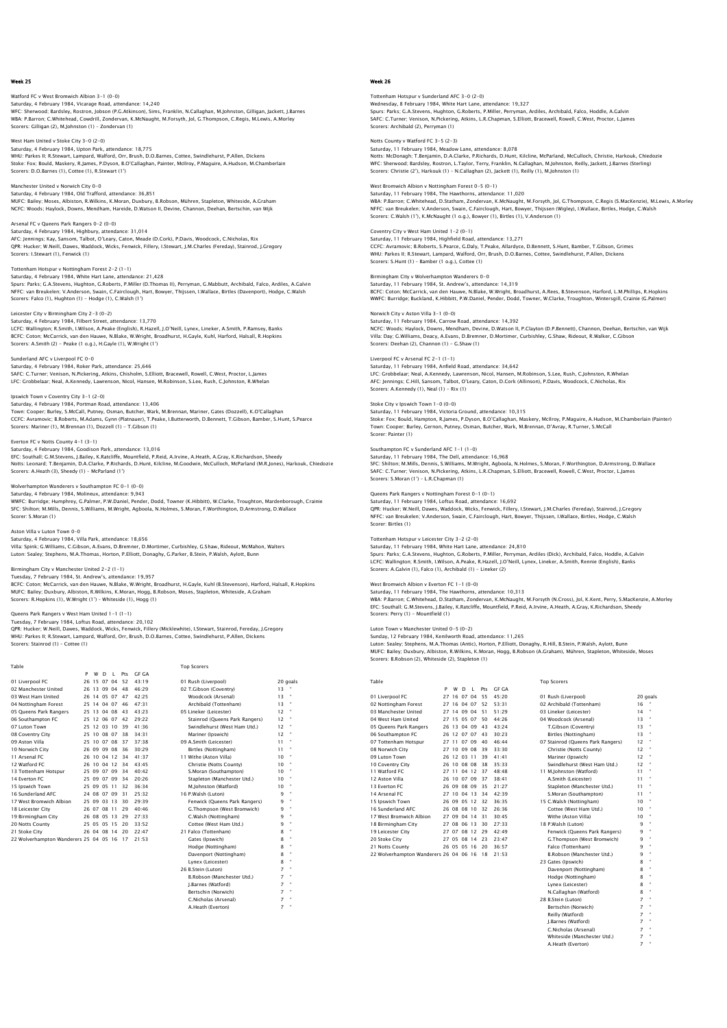Watford FC v West Bromwich Albion 3-1 (0-0) Saturday, 4 February 1984, Vicarage Road, attendance: 14,240 WFC: Sherwood; Bardsley, Rostron, Jobson (P.G.Atkinson), Sims, Franklin, N.Callaghan, M.Johnston, Gilligan, Jackett, J.Barnes WBA: P.Barron; C.Whitehead, Cowdrill, Zondervan, K.McNaught, M.Forsyth, Jol, G.Thompson, C.Regis, M.Lewis, A.Mo Scorers: Gilligan (2), M.Johnston (1) – Zondervan (1)

West Ham United v Stoke City 3-0 (2-0) Saturday, 4 February 1984, Upton Park, attendance: 18,775 WHU: Parkes II; R.Stewart, Lampard, Walford, Orr, Brush, D.O.Barnes, Cottee, Swindlehurst, P.Allen, Dickens<br>Stoke: Fox; Bould, Maskery, R.James, P.Dyson, B.O'Callaghan, Painter, McIlroy, P.Maguire, A.Hudson, M.Chamberlain<br>

Manchester United v Norwich City 0-0 Saturday, 4 February 1984, Old Trafford, attendance: 36,851<br>MUFC: Baliey; Moses, Albiston, R.Wilkins, K.Moran, Duxbury, B.Robson, Mühren, Stapleton, Whiteside, A.Graham<br>NCFC: Woods; Haylock, Downs, Mendham, Hareide, D.Wats

Arsenal FC v Queens Park Rangers 0-2 (0-0) Saturday, 4 February 1984, Highbury, attendance: 31,014<br>AFC: Jennings; Kay, Sansom, Talbot, O'Leary, Caton, Meade (D.Cork), P.Davis, Woodcock, C.Nicholas, Rix<br>QPR: Hucker; W.Neill, Dawes, Waddock, Wicks, Fenwick, Fillery,

Tottenham Hotspur v Nottingham Forest 2-2 (1-1) Saturday, 4 February 1984, White Hart Lane, attendance: 21,428<br>Spurs: Parks; G.A.Stevens, Hughton, G.Roberts, P.Miller (O.Thomas II), Perryman, G.Mabbutt, Archibald, Falco, Ardiles, A.Galvin<br>NFFC: van Breukelen; V.Anderson Scorers: Falco (1), Hughton (1) - Hodge (1), C.Walsh (1')

Leicester City v Birmingham City 2-3 (0-2) Saturday, 4 February 1984, Filbert Street, attendance: 13,770 LCFC: Wallington; R.Smith, I.Wilson, A.Peake (English), R.Hazell, J.O'Neill, Lynex, Lineker, A.Smith, P.Ramsey, Banks BCFC: Coton; McCarrick, van den Hauwe, N.Blake, W.Wright, Broadhurst, H.Gayle, Kuhl, Harford, Halsall, R.Hopkins Scorers: A.Smith (2) - Peake (1 o.g.), H.Gayle (1), W.Wright (1')

# Sunderland AFC v Liverpool FC 0–0<br>Saturday, 4 February 1984, Roker Park, attendance: 25,646<br>SAFC: C.Turner; Venison, N.Pickering, Atkins, Chisholm, S.Elliott, Bracewell, Rowell, C.West, Proctor, L.James<br>LFC: Grobbelaar; Ne

Ipswich Town v Coventry City 3-1 (2-0) Saturday, 4 February 1984, Portman Road, attendance: 13,406<br>Town: Cooper; Burley, S.McCall, Putney, Osman, Butcher, Wark, M.Brennan, Mariner, Gates (Dozzell), K.O'Callaghan<br>CCFC: Avramovic: B.Roberts, M.Adams, Gynn (Platna Scorers: Mariner (1), M.Brennan (1), Dozzell (1) - T.Gibson (1)

Everton FC v Notts County 4–1 (3–1)<br>Saturday, 4 February 1984, Goodison Park, attendance: 13,016<br>EFC: Southall; G.M.Stevens, J.Bailey, K.Ratcliffe, Mountfield, P.Reid, A.Irvine, A.Heath, A.Gray, K.Richardson, Sheedy<br>Notts: Scorers: A.Heath (3), Sheedy (1) – McParland (1')

Wolverhampton Wanderers v Southampton FC 0–1 (0–0)<br>Saturday, 4 February 1984, Molineux, attendance: 9,943<br>WWFC: Burridge: Humphrey, G.Palmer, P.W.Daniel, Pender, Dodd, Towner (K.Hibbitt), W.Clarke, Troughton, Mardenborough SFC: Shilton; M.Mills, Dennis, S.Williams, M.Wright, Agboola, N.Holmes, S.Moran, F.Worthington, D.Armstrong, D.Wallace Scorer: S.Moran (1)

Aston Villa v Luton Town 0-0

Saturday, 4 February 1984, Villa Park, attendance: 18,656 Villa: Spink; G.Williams, C.Gibson, A.Evans, D.Bremner, D.Mortimer, Curbishley, G.Shaw, Rideout, McMahon, Walters Luton: Sealey; Stephens, M.A.Thomas, Horton, P.Elliott, Donaghy, G.Parker, B.Stein, P.Walsh, Aylott, Bunn

Birmingham City v Manchester United 2-2 (1-1)

Tuesday, 7 February 1984, St. Andrew's, attendance: 19,957 BCFC: Coton; McCarrick, van den Hauwe, N.Blake, W.Wright, Broadhurst, H.Gayle, Kuhl (B.Stevenson), Harford, Halsall, R.Hopkins MUFC: Bailey; Duxbury, Albiston, R.Wilkins, K.Moran, Hogg, B.Robson, Moses, Stapleton, Whiteside, A.Graham Scorers: R.Hopkins (1), W.Wright (1') – Whiteside (1), Hogg (1)

#### Queens Park Rangers v West Ham United 1-1 (1-1)

Tuesday, 7 February 1984, Loftus Road, attendance: 20,102 QPR: Hucker; W.Neill, Dawes, Waddock, Wicks, Fenwick, Fillery (Micklewhite), I.Stewart, Stainrod, Fereday, J.Gregory WHU: Parkes II; R.Stewart, Lampard, Walford, Orr, Brush, D.O.Barnes, Cottee, Swindlehurst, P.Allen, Dickens Scorers: Stainrod (1) – Cottee (1)

Table Top Scorers

|                                        | P | W | D           | $\blacksquare$ | Prs | <b>GF GA</b> |                                |                 |                      |
|----------------------------------------|---|---|-------------|----------------|-----|--------------|--------------------------------|-----------------|----------------------|
| 01 Liverpool FC                        |   |   |             | 26 15 07 04    | 52  | 43:19        | 01 Rush (Liverpool)            |                 | 20 goals             |
| 02 Manchester United                   |   |   | 26 13 09 04 |                | 48  | 46:29        | 02 T.Gibson (Coventry)         | 13              |                      |
| 03 West Ham United                     |   |   | 26 14 05 07 |                | 47  | 42.25        | Woodcock (Arsenal)             | 13              | $\bullet$            |
| 04 Nottingham Forest                   |   |   |             | 25 14 04 07    | 46  | 47:31        | Archibald (Tottenham)          | 13              |                      |
| 05 Queens Park Rangers                 |   |   |             | 25 13 04 08    | 43  | 43:23        | 05 Lineker (Leicester)         | 12              |                      |
| 06 Southampton FC                      |   |   |             | 25 12 06 07    | 42  | 29.22        | Stainrod (Oueens Park Rangers) | 12              | $\bullet$            |
| 07 Luton Town                          |   |   |             | 25 12 03 10    | 39  | 41.36        | Swindlehurst (West Ham Utd.)   | 12              |                      |
| 08 Coventry City                       |   |   |             | 25 10 08 07    | 38  | 34:31        | Mariner (Ipswich)              | 12              |                      |
| 09 Aston Villa                         |   |   | 25 10 07 08 |                | 37  | 37.38        | 09 A.Smith (Leicester)         | 11              | $\bullet$            |
| 10 Norwich City                        |   |   | 26 09 09 08 |                | 36  | 30.29        | Birtles (Nottingham)           | 11              |                      |
| 11 Arsenal FC                          |   |   |             | 26 10 04 12 34 |     | 41.37        | 11 Withe (Aston Villa)         | 10              |                      |
| 12 Watford FC                          |   |   |             | 26 10 04 12    | 34  | 43:45        | Christie (Notts County)        | 10              |                      |
| 13 Tottenham Hotspur                   |   |   | 25 09 07 09 |                | 34  | 40:42        | S.Moran (Southampton)          | 10              |                      |
| 14 Everton EC                          |   |   | 25 09 07 09 |                | 34  | 20.26        | Stapleton (Manchester Utd.)    | 10              |                      |
| 15 Ipswich Town                        |   |   | 25 09 05 11 |                | 32  | 36.34        | M.Iohnston (Watford)           | 10 <sup>1</sup> |                      |
| 16 Sunderland AFC                      |   |   | 24 08 07 09 |                | 31  | 25.32        | 16 P.Walsh (Luton)             | 9               | $\mathbf{H}$         |
| 17 West Bromwich Albion                |   |   | 25 09 03 13 |                | 30  | 29.39        | Fenwick (Oueens Park Rangers)  | 9               | ×,                   |
| 18 Leicester City                      |   |   | 26 07 08 11 |                | 29  | 40.46        | G.Thompson (West Bromwich)     | 9               | $\bullet$            |
| 19 Birmingham City                     |   |   | 26 08 05 13 |                | 29  | 27:33        | C.Walsh (Nottingham)           | 9               | $\bullet$            |
| 20 Notts County                        |   |   | 25 05 05 15 |                | 20  | 33:52        | Cottee (West Ham Utd.)         | 9               | $\mathbf{H}$         |
| 21 Stoke City                          |   |   |             | 26 04 08 14    | 20  | 22:47        | 21 Falco (Tottenham)           | 8               |                      |
| 22 Wolverhampton Wanderers 25 04 05 16 |   |   |             |                | -17 | 21:53        | Gates (Ipswich)                | 8               | $\mathbf{H}$         |
|                                        |   |   |             |                |     |              | Hodge (Nottingham)             | 8               | $\mathbf{a}$         |
|                                        |   |   |             |                |     |              | Davenport (Nottingham)         | 8               |                      |
|                                        |   |   |             |                |     |              | Lynex (Leicester)              | 8               | $\mathbf{a}$         |
|                                        |   |   |             |                |     |              | 26 B.Stein (Luton)             | $\overline{7}$  | $\mathbf{a}$         |
|                                        |   |   |             |                |     |              | B.Robson (Manchester Utd.)     | 7               | $\ddot{\phantom{a}}$ |
|                                        |   |   |             |                |     |              |                                |                 |                      |

| 01 Rush (Liverpool)            |    | 20q |
|--------------------------------|----|-----|
| 02 T.Gibson (Coventry)         | 13 |     |
| Woodcock (Arsenal)             | 13 | ٠   |
| Archibald (Tottenham)          | 13 |     |
| 05 Lineker (Leicester)         | 12 |     |
| Stainrod (Oueens Park Rangers) | 12 | ٠   |
| Swindlehurst (West Ham Utd.)   | 12 |     |
| Mariner (Ipswich)              | 12 |     |
| 09 A.Smith (Leicester)         | 11 |     |
| Birtles (Nottingham)           | 11 |     |
| 11 Withe (Aston Villa)         | 10 | ٠   |
| Christie (Notts County)        | 10 | 8   |
| S.Moran (Southampton)          | 10 | 8   |
| Stapleton (Manchester Utd.)    | 10 |     |
| M.Johnston (Watford)           | 10 |     |
| 16 P.Walsh (Luton)             | ۹  | ٠   |
| Fenwick (Oueens Park Rangers)  | ۹  |     |
| G.Thompson (West Bromwich)     | ٩  |     |
| C.Walsh (Nottingham)           | q  | ٠   |
| Cottee (West Ham Utd.)         | q  | ٠   |
| 21 Falco (Tottenham)           | 8  | ٠   |
| Gates (Ipswich)                | 8  |     |
| Hodge (Nottingham)             | 8  |     |
| Davenport (Nottingham)         | 8  | a   |



### Week 26

Tottenham Hotspur v Sunderland AFC 3-0 (2-0) Wednesday, 8 February 1984, White Hart Lane, attendance: 19,327 Spurs: Parks; G.A.Stevens, Hughton, G.Roberts, P.Miller, Perryman, Ardiles, Archibald, Falco, Hoddle, A.Galvin SAFC: C.Turner; Venison, N.Pickering, Atkins, L.R.Chapman, S.Elliott, Bracewell, Rowell, C.West, Proctor, L.James SAFC: C. Hirner, Vernson, Antronic<br>Scorers: Archibald (2), Perryman (1)

Notts County v Watford FC 3-5 (2-3)

Saturday, 11 February 1984, Meadow Lane, attendance: 8,078 Notts: McDonagh; T.Benjamin, D.A.Clarke, P.Richards, D.Hunt, Kilcline, McParland, McCulloch, Christie, Harkouk, Chiedozie<br>WFC: Sherwood; Bardsley, Rostron, L.Taylor, Terry, Franklin, N.Callaghan, M.Johnston, Reilly. Jacket

# West Bromwich Albion v Nottingham Forest 0-5 (0-1)

Saturday, 11 February 1984, The Hawthorns, attendance: 11,020<br>WBA: P.Barron; C.Whitehead, D.Statham; Zondervan, K.McNaught, M.Forsyth, Jol, G.Thompson, C.Regis (S.MacKenzie), M.Lewis, A.Morley<br>NFFC: van Breukelen; V.Anders

Coventry City v West Ham United 1-2 (0-1)

Saturday, 11 February 1984, Highfield Road, attendance: 13,271<br>CCFC: Avramovic; B.Roberts, S.Pearce, G.Daly, T.Peake, Allardyce, D.Bennett, S.Hunt, Bamber, T.Gibson, Grimes<br>WHU: Parkes II; R.Stewart, Lampard, Walford, Orr, Scorers: S.Hunt (1) – Bamber (1 o.g.), Cottee (1)

Birmingham City v Wolverhampton Wanderers 0-0 Saturday, 11 February 1984, St. Andrew's, attendance: 14,319<br>BCFC: Coton; McCarrick, van den Hauwe, N.Blake, W.Wright, Broadhurst, A.Rees, B.Stevenson, Harford, L.M.Phillips, R.Hopkins<br>WWFC: Burridge; Buckland, K.Hibbitt,

Norwich City v Aston Villa 3-1 (0-0)

Saturday, 11 February 1984, Carrow Road, attendance: 14,392 NCFC: Woods; Haylock, Downs, Mendham, Devine, D.Watson II, P.Clayton (D.P.Bennett), Channon, Deehan, Bertschin, van Wijk Villa: Day; G.Williams, Deacy, A.Evans, D.Bremner, D.Mortimer, Curbishley, G.Shaw, Rideout, R.Walker, C.Gibson Scorers: Deehan (2), Channon (1) - G.Shaw (1)

Liverpool FC v Arsenal FC 2–1 (1–1)<br>Saturday, 11 February 1984, Anfield Road, attendance: 34,642<br>LFC: Grobbelaar; Neal, A.Kennedy, Lawrenson, Nicol, Hansen, M.Robinson, S.Lee, Rush, C.Johnston, R.Whelan<br>AFC: Jennings; C.Hi Scorers: A.Kennedy (1), Neal (1) - Rix (1)

# Stoke City v Ipswich Town 1-0 (0-0)

Staturday, 11 February 1984, Victoria Ground, attendance: 10,315 Stoke: Fox; Bould, Hampton, R.James, P.Dyson, B.O'Callaghan, Maskery, McIlroy, P.Maguire, A.Hudson, M.Chamberlain (Painter)<br>Town: Cooper; Burley, Gernon, Putney, Osman, Butcher, Wark, M.Brennan, D'Avray, R.Turner, S.McCall Scorer: Painter (1)

# Southampton FC v Sunderland AFC 1-1 (1-0) Saturday, 11 February 1984, The Dell, attendance: 16,968

SFC: Shilton; M.Mills, Dennis, S.Williams, M.Wright, Agboola, N.Holmes, S.Moran, F.Worthington, D.Armstrong, D.Wallace SAFC: C.Turner; Venison, N.Pickering, Atkins, L.R.Chapman, S.Elliott, Bracewell, Rowell, C.West, Proctor, L.James Scorers: S.Moran (1') – L.R.Chapman (1)

# Queens Park Rangers v Nottingham Forest 0-1 (0-1)

Saturday, 11 February 1984, Loftus Road, attendance: 16,692<br>Saturday, 11 February 1984, Loftus Road, attendance: 16,692<br>OPR: Hucker: W.Neill. Dawes. Waddock. Wicks. Fenwick. Fillery. LStewart. LM.Charles (Fereday). Stainro QPR: Hucker; W.Neill, Dawes, Waddock, Wicks, Fenwick, Fillery, I.Stewart, J.M.Charles (Fereday), Stainrod, J.Gregory<br>NFFC: van Breukelen; V.Anderson, Swain, C.Fairclough, Hart, Bowyer, Thijssen, I.Wallace, Birtles, Hodge,

#### Tottenham Hotspur v Leicester City 3-2 (2-0)

Saturday, 11 February 1984, White Hart Lane, attendance: 24,810 Spurs: Parks; G.A.Stevens, Hughton, G.Roberts, P.Miller, Perryman, Ardiles (Dick), Archibald, Falco, Hoddle, A.Galvir<br>LCFC: Wallington; R.Smith, I.Wilson, A.Peake, R.Hazell, J.O'Neill, Lynex, Lineker, A.Smith, Rennie (Engl

## West Bromwich Albion v Everton FC 1-1 (0-0)

Saturday, 11 February 1984, The Hawthorns, attendance: 10,313<br>WBA: P.Barron; C.Whitehead, D.Statham, Zondervan, K.McNaught, M.Forsyth (N.Cross), Jol, K.Kent, Perry, S.MacKenzie, A.Morley<br>EFC: Southall; G.M.Stevens, J.Baile Scorers: Perry (1) - Mountfield (1)

#### Luton Town v Manchester United 0-5 (0-2)

Sunday, 12 February 1984, Kenilworth Road, attendance: 11,265<br>Luton: Sealey; Stephens, M.A.Thomas (Antic), Horton, P.Elliott, Donaghy, R.Hill, B.Stein, P.Walsh, Aylott, Bunn<br>MUFC: Bailey; Duxbury, Albiston, R.Wilkins, K.Mo

| $\sim$<br> |  |
|------------|--|

|                                        | P | w           | <sup>D</sup> | $\mathbf{I}$ | Prs | GE GA |                                   |          |              |
|----------------------------------------|---|-------------|--------------|--------------|-----|-------|-----------------------------------|----------|--------------|
| 01 Liverpool FC                        |   | 27 16 07 04 |              |              | 55  | 45:20 | 01 Rush (Liverpool)               | 20 goals |              |
| 02 Nottingham Forest                   |   | 27 16 04 07 |              |              | 52  | 53.31 | 02 Archibald (Tottenham)          | 16       |              |
| 03 Manchester United                   |   | 27 14 09 04 |              |              | 51  | 51:29 | 03 Lineker (Leicester)            | 14       |              |
| 04 West Ham United                     |   | 27 15       | 05           | 07           | 50  | 44.26 | 04 Woodcock (Arsenal)             | 13       | $\mathbf{u}$ |
| 05 Oueens Park Rangers                 |   | 26 13       | 04 09        |              | 43  | 43.24 | T.Gibson (Coventry)               | 13       |              |
| 06 Southampton FC                      |   | 26 12       | 07           | 07           | 43  | 30:23 | Birtles (Nottingham)              | 13       | $\mathbf{u}$ |
| 07 Tottenham Hotspur                   |   | 27 11       | 07           | 09           | 40  | 46.44 | 07 Stainrod (Oueens Park Rangers) | 12       |              |
| 08 Norwich City                        |   | 27 10       | 09 08        |              | 39  | 33.30 | Christie (Notts County)           | 12       | $\mathbf{u}$ |
| 09 Luton Town                          |   | 26 12 03 11 |              |              | 39  | 41:41 | Mariner (Ipswich)                 | 12       |              |
| 10 Coventry City                       |   | 26 10 08 08 |              |              | 38  | 35.33 | Swindlehurst (West Ham Utd.)      | 12       | $\mathbf{u}$ |
| 11 Watford FC                          |   | 27 11       | 0412         |              | 37  | 48:48 | 11 M.Johnston (Watford)           | 11       |              |
| 12 Aston Villa                         |   | 26 10 07 09 |              |              | 37  | 38:41 | A.Smith (Leicester)               | 11       |              |
| 13 Everton EC                          |   | 26 09 08 09 |              |              | 35  | 21:27 | Stapleton (Manchester Utd.)       | 11       |              |
| 14 Arsenal FC                          |   | 27 10       | 0413         |              | 34  | 42:39 | S.Moran (Southampton)             | 11       |              |
| 15 Ipswich Town                        |   | 26.09       | 05 12        |              | 32  | 36:35 | 15 C.Walsh (Nottingham)           | 10       | $\mathbf{a}$ |
| 16 Sunderland AFC                      |   | 26 08       | 08 10        |              | 32  | 26.36 | Cottee (West Ham Utd.)            | 10       |              |
| 17 West Bromwich Albion                |   | 27.09       | 0414         |              | 31  | 30.45 | Withe (Aston Villa)               | 10       | $\mathbf{a}$ |
| 18 Birmingham City                     |   | 27.08       | 06           | 13           | 30  | 27.33 | 18 P.Walsh (Luton)                | ۹        | $\mathbf{u}$ |
| 19 Leicester City                      |   | 27 07 08 12 |              |              | 29  | 42.49 | Fenwick (Queens Park Rangers)     | ۹        | $\mathbf{a}$ |
| 20 Stoke City                          |   | 27.05       | 08 14        |              | 23  | 23:47 | G.Thompson (West Bromwich)        | 9        | $\mathbf{u}$ |
| 21 Notts County                        |   | 26 05 05 16 |              |              | 20  | 36.57 | Falco (Tottenham)                 | ۹        | $\mathbf{a}$ |
| 22 Wolverhampton Wanderers 26 04 06 16 |   |             |              |              | 18  | 21.53 | B.Robson (Manchester Utd.)        | ۹        |              |
|                                        |   |             |              |              |     |       | 23 Gates (Ipswich)                | g        |              |

# Top Scorers

| 01 Rush (Liverpool)               | 20 qo |   |
|-----------------------------------|-------|---|
| 02 Archibald (Tottenham)          | 16    |   |
| 03 Lineker (Leicester)            | 14    | u |
| 04 Woodcock (Arsenal)             | 13    | u |
| T.Gibson (Coventry)               | 13    | u |
| Birtles (Nottingham)              | 13    | ä |
| 07 Stainrod (Oueens Park Rangers) | 12    | ä |
| Christie (Notts County)           | 12    | u |
| Mariner (Ipswich)                 | 12    | u |
| Swindlehurst (West Ham Utd.)      | 12    | u |
| 11 M.Johnston (Watford)           | 11    | u |
| A.Smith (Leicester)               | 11    | ä |
| Stapleton (Manchester Utd.)       | 11    | u |
| S.Moran (Southampton)             | 11    | u |
| 15 C.Walsh (Nottingham)           | 10    | ä |
| Cottee (West Ham Utd.)            | 10    | u |
| Withe (Aston Villa)               | 10    | u |
| 18 P.Walsh (Luton)                | q     | u |
| Fenwick (Queens Park Rangers)     | q     | u |
| G.Thompson (West Bromwich)        | q     | ä |
| Falco (Tottenham)                 | 9     | u |
| B.Robson (Manchester Utd.)        | 9     | u |
| 23 Gates (Ipswich)                | 8     | ä |
| Davenport (Nottingham)            | 8     | ä |
| Hodge (Nottingham)                | 8     | u |
| Lynex (Leicester)                 | g     | ä |
| N.Callaghan (Watford)             | 8     | u |
| 28 B.Stein (Luton)                | 7     | ä |
| Bertschin (Norwich)               | 7     | u |
| Reilly (Watford)                  | 7     | u |
| J.Barnes (Watford)                | 7     | u |
| C.Nicholas (Arsenal)              | 7     | ä |
| Whiteside (Manchester Utd.)       | 7     | u |
| A.Heath (Everton)                 | 7     | u |
|                                   |       |   |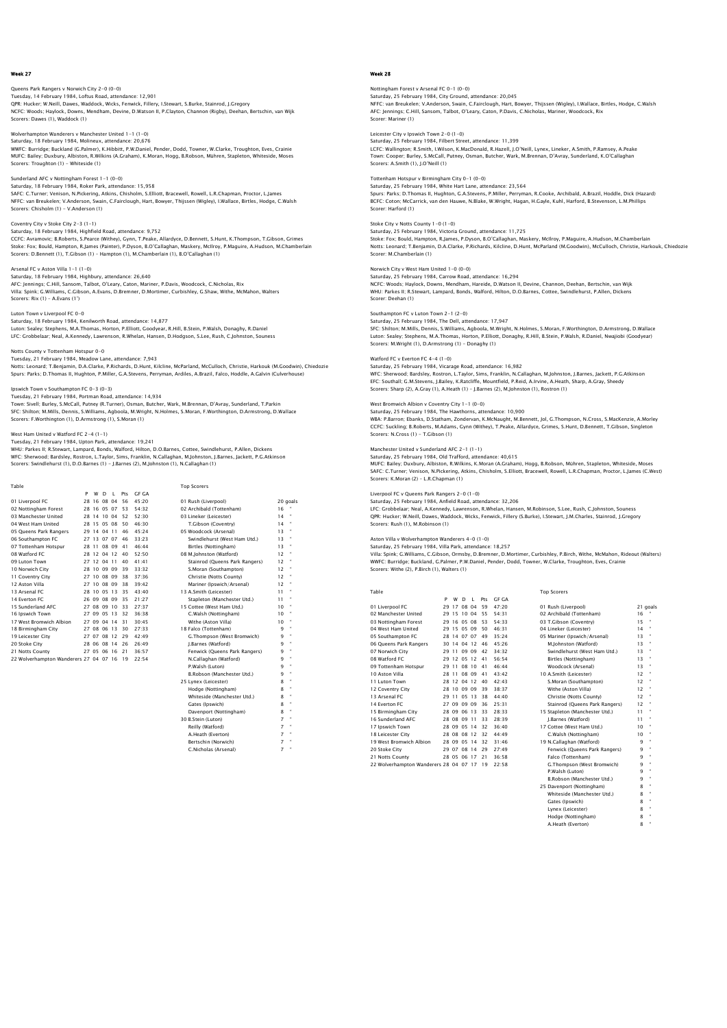# Queens Park Rangers v Norwich City 2–0 (0–0)<br>Tuesday, 14 February 1984, Loftus Road, attendance: 12,901<br>QPR: Hucker; W.Neill, Dawes, Waddock, Wicks, Fenwick, Fillery, I.Stewart, S.Burke, Stainrod, J.Gregory

NCFC: Woods; Haylock, Downs, Mendham, Devine, D.Watson II, P.Clayton, Channon (Rigby), Deehan, Bertschin, van Wijk Scorers: Dawes (1), Waddock (1)

# Wolverhampton Wanderers v Manchester United 1-1 (1-0) Saturday, 18 February 1984, Molineux, attendance: 20,676

WWFC: Burridge; Buckland (G.Palmer), K.Hibbitt, P.W.Daniel, Pender, Dodd, Towner, W.Clarke, Troughton, Eves, Crainie MUFC: Bailey; Duxbury, Albiston, R.Wilkins (A.Graham), K.Moran, Hogg, B.Robson, Mühren, Stapleton, Whiteside, Moses Scorers: Troughton (1) - Whiteside (1)

#### Sunderland AFC v Nottingham Forest 1-1 (0-0) Saturday, 18 February 1984, Roker Park, attendance: 15,958

SAFC: C.Turner; Venison, N.Pickering, Atkins, Chisholm, S.Elliott, Bracewell, Rowell, L.R.Chapman, Proctor, L.James<br>NFFC: van Breukelen; V.Anderson, Swain, C.Fairclough, Hart, Bowyer, Thijssen (Wigley), I.Wallace, Birtles, Scorers: Chisholm (1) - V.Anderson (1)

#### Coventry City v Stoke City 2-3 (1-1)

Saturday, 18 February 1984, Highfield Road, attendance: 9,752 CCFC: Avramovic; B.Roberts, S.Pearce (Withey), Gynn, T.Peake, Allardyce, D.Bennett, S.Hunt, K.Thompson, T.Gibson, Grimes<br>Stoke: Fox; Bould, Hampton, R.James (Painter), P.Dyson, B.O'Callaghan, Maskery, Mcliroy, P.Maguire, A

#### Arsenal FC v Aston Villa 1-1 (1-0)

Saturday, 18 February 1984, Highbury, attendance: 26,640<br>AFC: Jennings; C.Hill, Sansom, Talbot, O'Leary, Caton, Mariner, P.Davis, Woodcock, C.Nicholas, Rix<br>Villa: Spink: G.Williams, C.Gibson, A.Evans, D.Bremner, D.Mortimer Scorers: Rix (1) – A.Evans (1')

## Luton Town v Liverpool FC 0-0

Saturday, 18 February 1984, Kenilworth Road, attendance: 14,877 Luton: Sealey; Stephens, M.A.Thomas, Horton, P.Elliott, Goodyear, R.Hill, B.Stein, P.Walsh, Donaghy, R.Daniel LFC: Grobbelaar; Neal, A.Kennedy, Lawrenson, R.Whelan, Hansen, D.Hodgson, S.Lee, Rush, C.Johnston, Souness

# Notts County v Tottenham Hotspur 0-0

Tuesday, 21 February 1984, Meadow Lane, attendance: 7,943 Notts: Leonard; T.Benjamin, D.A.Clarke, P.Richards, D.Hunt, Kilcline, McParland, McCulloch, Christie, Harkouk (M.Goodwin), Chiedozie Spurs: Parks; D.Thomas II, Hughton, P.Miller, G.A.Stevens, Perryman, Ardiles, A.Brazil, Falco, Hoddle, A.Galvin (Culverhouse)

#### Ipswich Town v Southampton FC 0-3 (0-3)

Tuesday, 21 February 1984, Portman Road, attendance: 14,934 Town: Sivell; Burley, S.McCall, Putney (R.Turner), Osman, Butcher, Wark, M.Brennan, D'Avray, Sunderland, T.Parkin<br>SFC: Shilton; M.Mills, Dennis, S.Williams, Agboola, M.Wright, N.Holmes, S.Moran, F.Worthington, D.Armstrong,

# West Ham United v Watford FC 2-4 (1-1)

Tuesday, 21 February 1984, Upton Park, attendance: 19,241<br>WHU: Parkes II; R.Stewart, Lampard, Bonds, Walford, Hilton, D.O.Barnes, Cottee, Swindlehurst, P.Allen, Dickens<br>WFC: Sherwood: Bardsley, Rostron, L.Taylor, Sims, Fra

| Table                                  |   |             |   |                |     |       | <b>Top Scorers</b>             |    |                      |
|----------------------------------------|---|-------------|---|----------------|-----|-------|--------------------------------|----|----------------------|
|                                        | P | w           | D | $\blacksquare$ | Pts | GE GA |                                |    |                      |
| 01 Liverpool FC                        |   | 28 16 08 04 |   |                | 56  | 45:20 | 01 Rush (Liverpool)            |    | 20 goals             |
| 02 Nottingham Forest                   |   | 28 16 05 07 |   |                | 53  | 54.32 | 02 Archibald (Tottenham)       | 16 |                      |
| 03 Manchester United                   |   |             |   | 28 14 10 04    | 52  | 52.30 | 03 Lineker (Leicester)         | 14 |                      |
| 04 West Ham United                     |   | 28 15 05 08 |   |                | 50  | 46.30 | T.Gibson (Coventry)            | 14 |                      |
| 05 Queens Park Rangers                 |   | 29 14 04 11 |   |                | 46  | 45.24 | 05 Woodcock (Arsenal)          | 13 |                      |
| 06 Southampton FC                      |   |             |   | 27 13 07 07    | 46  | 33.23 | Swindlehurst (West Ham Utd.)   | 13 |                      |
| 07 Tottenham Hotspur                   |   |             |   | 28 11 08 09    | 41  | 46.44 | Birtles (Nottingham)           | 13 | $\bullet$            |
| 08 Watford FC                          |   |             |   | 28 12 04 12    | 40  | 52.50 | 08 M.Johnston (Watford)        | 12 |                      |
| 09 Luton Town                          |   | 27 12 04 11 |   |                | 40  | 41.41 | Stainrod (Queens Park Rangers) | 12 | ×                    |
| 10 Norwich City                        |   |             |   | 28 10 09 09    | 39  | 33.32 | S.Moran (Southampton)          | 12 |                      |
| 11 Coventry City                       |   | 27 10 08 09 |   |                | 38  | 37.36 | Christie (Notts County)        | 12 |                      |
| 12 Aston Villa                         |   |             |   | 27 10 08 09    | 38  | 39.42 | Mariner (Ipswich/Arsenal)      | 12 |                      |
| 13 Arsenal FC                          |   |             |   | 28 10 05 13    | 35  | 43.40 | 13 A.Smith (Leicester)         | 11 |                      |
| 14 Everton EC                          |   | 26 09 08 09 |   |                | 35  | 21:27 | Stapleton (Manchester Utd.)    | 11 | ×                    |
| 15 Sunderland AEC                      |   | 27 08 09 10 |   |                | 33  | 27.37 | 15 Cottee (West Ham Utd.)      | 10 |                      |
| 16 Ipswich Town                        |   | 27 09 05 13 |   |                | 32  | 36.38 | C.Walsh (Nottingham)           | 10 |                      |
| 17 West Bromwich Albion                |   | 27 09 04 14 |   |                | 31  | 30.45 | Withe (Aston Villa)            | 10 |                      |
| 18 Birmingham City                     |   | 27 08 06 13 |   |                | 30  | 27.33 | 18 Falco (Tottenham)           | 9  | ×                    |
| 19 Leicester City                      |   |             |   | 27 07 08 12    | 29  | 42:49 | G.Thompson (West Bromwich)     | 9  | ×                    |
| 20 Stoke City                          |   | 28 06 08 14 |   |                | 26  | 26.49 | I.Barnes (Watford)             | q  |                      |
| 21 Notts County                        |   | 27 05 06 16 |   |                | 21  | 36:57 | Fenwick (Queens Park Rangers)  | 9  | $\bullet$            |
| 22 Wolverhampton Wanderers 27 04 07 16 |   |             |   |                | 19  | 22:54 | N.Callaghan (Watford)          | 9  | ×                    |
|                                        |   |             |   |                |     |       | P.Walsh (Luton)                | 9  | ×                    |
|                                        |   |             |   |                |     |       | B.Robson (Manchester Utd.)     | 9  | $\ddot{\phantom{a}}$ |
|                                        |   |             |   |                |     |       | 25 Lynex (Leicester)           | 8  | ×                    |
|                                        |   |             |   |                |     |       | Hodge (Nottingham)             | 8  | ×                    |
|                                        |   |             |   |                |     |       | Whiteside (Manchester Utd.)    | 8  |                      |
|                                        |   |             |   |                |     |       | Gates (Ipswich)                | 8  |                      |
|                                        |   |             |   |                |     |       | Davennort (Nottingham)         | R  | ×                    |

30 B.Stein (Luton) 7 " Reilly (Watford) 7 "

A.Heath (Everton) Bertschin (Norwich) C.Nicholas (Arsenal)

# Week 28

# Nottingham Forest v Arsenal FC 0-1 (0-0)

Saturday, 25 February 1984, City Ground, attendance: 20,045<br>NFFC: van Breukelen; V.Anderson, Swain, C.Fairclough, Hart, Bowyer, Thijssen (Wigley), I.Wallace, Birtles, Hodge, C.Walsh AFC: Jennings; C.Hill, Sansom, Talbot, O'Leary, Caton, P.Davis, C.Nicholas, Mariner, Woodcock, Rix Scorer: Mariner (1)

# Leicester City v Ipswich Town 2-0 (1-0) Saturday, 25 February 1984, Filbert Street, attendance: 11,399

LCFC: Wallington; R.Smith, I.Wilson, K.MacDonald, R.Hazell, J.O'Neill, Lynex, Lineker, A.Smith, P.Ramsey, A.Peake Town: Cooper; Burley, S.McCall, Putney, Osman, Butcher, Wark, M.Brennan, D'Avray, Sunderland, K.O'Callaghan Scorers: A.Smith (1), J.O'Neill (1)

# Tottenham Hotspur v Birmingham City 0-1 (0-0)

Saturday, 25 February 1984, White Hart Lane, attendance: 23,564<br>Spurs: Parks; D.Thomas II, Hughton, G.A.Stevens, P.Miller, Perryman, R.Cooke, Archibald, A.Brazil, Hoddle, Dick (Hazard)<br>BCFC: Coton; McCarrick, van den Hauwe e: eoton, mee<br>rer: Harford (1)

#### Stoke City v Notts County 1-0 (1-0) Saturday, 25 February 1984, Victoria Ground, attendance: 11,725

Stoke: Fox; Bould, Hampton, R.James, P.Dyson, B.O'Callaghan, Maskery, Mcliroy, P.Maguire, A.Hudson, M.Chamberlain<br>Notts: Leonard; T.Benjamin, D.A.Clarke, P.Richards, Kilcline, D.Hunt, McParland (M.Goodwin), McCulloch, Chri

# Norwich City v West Ham United 1-0 (0-0)

Saturday, 25 February 1984, Carrow Road, attendance: 16,294<br>NCFC: Woods; Haylock, Downs, Mendham, Hareide, D.Watson II, Devine, Channon, Deehan, Bertschin, van Wijk<br>WHU: Parkes II; R.Stewart, Lampard, Bonds, Walford, Hilto Scorer: Deehan (1)

# Southampton FC v Luton Town 2-1 (2-0)

Saturday, 25 February 1984, The Dell, attendance: 17,947 SFC: Shilton; M.Mills, Dennis, S.Williams, Agboola, M.Wright, N.Holmes, S.Moran, F.Worthington, D.Armstrong, D.Wallace Luton: Sealey; Stephens, M.A.Thomas, Horton, P.Elliott, Donaghy, R.Hill, B.Stein, P.Walsh, R.Daniel, Nwajiobi (Goodyear) Scorers: M.Wright (1), D.Armstrong (1) - Donaghy (1)

#### Watford FC v Everton FC 4-4 (1-0)

Saturday, 25 February 1984, Vicarage Road, attendance: 16,982 WFC: Sherwood; Bardsley, Rostron, L.Taylor, Sims, Franklin, N.Callaghan, M.Johnston, J.Barnes, Jackett, P.G.Atkinson EFC: Southall; G.M.Stevens, J.Bailey, K.Ratcliffe, Mountfield, P.Reid, A.Irvine, A.Heath, Sharp, A.Gray, Sheedy Scorers: Sharp (2), A.Gray (1), A.Heath (1) – J.Barnes (2), M.Johnston (1), Rostron (1)

# West Bromwich Albion v Coventry City 1-1 (0-0)

Saturday, 25 February 1984, The Hawthorns, attendance: 10,900 WBA: P.Barron; Ebanks, D.Statham, Zondervan, K.McNaught, M.Bennett, Jol, G.Thompson, N.Cross, S.MacKenzie, A.Morley CCFC: Suckling; B.Roberts, M.Adams, Gynn (Withey), T.Peake, Allardyce, Grimes, S.Hunt, D.Bennett, T.Gibson, Singleton Scorers: N.Cross (1) - T.Gibson (1)

# Manchester United v Sunderland AFC 2-1 (1-1)

Saturday, 25 February 1984, Old Trafford, attendance: 40,615 MUFC: Bailey; Duxbury, Albiston, R.Wilkins, K.Moran (A.Graham), Hogg, B.Robson, Mühren, Stapleton, Whiteside, Moses SAFC: C.Turner; Venison, N.Pickering, Atkins, Chisholm, S.Elliott, Bracewell, Rowell, L.R.Chapman, Proctor, L.James (C.West) Scorers: K.Moran (2) – L.R.Chapman (1)

#### Liverpool FC v Queens Park Rangers 2-0 (1-0) Saturday, 25 February 1984, Anfield Road, attendance: 32,206

LFC: Grobbelaar; Neal, A.Kennedy, Lawrenson, R.Whelan, Hansen, M.Robinson, S.Lee, Rush, C.Johnston, Souness QPR: Hucker; W.Neill, Dawes, Waddock, Wicks, Fenwick, Fillery (S.Burke), I.Stewart, J.M.Charles, Stainrod, J.Gregory Scorers: Rush (1), M.Robinson (1)

# Aston Villa v Wolverhampton Wanderers 4-0 (1-0)

Saturday, 25 February 1984, Villa Park, attendance: 18,257

Villa: Spink; G.Williams, C.Gibson, Ormsby, D.Bremner, D.Mortimer, Curbishley, P.Birch, Withe, McMahon, Rideout (Walters)<br>WWFC: Burridge; Buckland, G.Palmer, P.W.Daniel, Pender, Dodd, Towner, W.Clarke, Troughton, Eves, Cra

| Table                               |    |                 |             |       |     |              | <b>Top Scorers</b>             |       |
|-------------------------------------|----|-----------------|-------------|-------|-----|--------------|--------------------------------|-------|
|                                     | P  | w               | D           | т.    | Pts | <b>GF GA</b> |                                |       |
| 01 Liverpool FC                     | 29 | 17              | 08          | 04    | 59  | 47.20        | 01 Rush (Liverpool)            | 21 qc |
| 02 Manchester United                |    | 29 15           | 10          | 04    | 55  | 54:31        | 02 Archibald (Tottenham)       | 16    |
| 03 Nottingham Forest                | 29 | 16              | 05          | 08    | 53  | 54.33        | 03 T.Gibson (Coventry)         | 15    |
| 04 West Ham United                  | 29 | -15             | 05          | 09    | 50  | 46.31        | 04 Lineker (Leicester)         | 14    |
| 05 Southampton FC                   |    | 28 14           | 07          | 07    | 49  | 35:24        | 05 Mariner (Ipswich/Arsenal)   | 13    |
| 06 Oueens Park Rangers              | 30 | 14              |             | 0412  | 46  | 45.26        | M.Iohnston (Watford)           | 13    |
| 07 Norwich City                     |    | 29 11           |             | 09 09 | 42  | 34:32        | Swindlehurst (West Ham Utd.)   | 13    |
| 08 Watford FC                       |    | 29 12           |             | 05 12 | 41  | 56.54        | Birtles (Nottingham)           | 13    |
| 09 Tottenham Hotspur                |    | 29 11           | 08          | 10    | 41  | 46.44        | Woodcock (Arsenal)             | 13    |
| 10 Aston Villa                      |    | 28 11           |             | 08 09 | 41  | 43:42        | 10 A.Smith (Leicester)         | 12    |
| 11 Luton Town                       |    | 28 12           | 04          | 12    | 40  | 42.43        | S.Moran (Southampton)          | 12    |
| 12 Coventry City                    | 28 | 10              | 09          | 09    | 39  | 38:37        | Withe (Aston Villa)            | 12    |
| 13 Arsenal FC                       | 29 | $\overline{11}$ | 05          | 13    | 38  | 44.40        | Christie (Notts County)        | 12    |
| 14 Everton FC                       |    | 27.09           | 09          | 09    | 36  | 25:31        | Stainrod (Queens Park Rangers) | 12    |
| 15 Birmingham City                  |    | 28 09           | 06          | 13    | 33  | 28:33        | 15 Stapleton (Manchester Utd.) | 11    |
| 16 Sunderland AFC                   |    |                 | 28 08 09    | 11    | 33  | 28.39        | I.Barnes (Watford)             | 11    |
| 17 Ipswich Town                     |    |                 | 28 09 05 14 |       | 32  | 36:40        | 17 Cottee (West Ham Utd.)      | 10    |
| 18 Leicester City                   |    |                 | 28 08 08 12 |       | 32  | 44:49        | C.Walsh (Nottingham)           | 10    |
| 19 West Bromwich Albion             |    |                 | 28 09 05 14 |       | 32  | 31.46        | 19 N.Callaghan (Watford)       | 9     |
| 20 Stoke City                       |    | 29 07 08        |             | 14    | 29  | 27:49        | Fenwick (Queens Park Rangers)  | 9     |
| 21 Notts County                     |    | 28 05 06        |             | 17    | 21  | 36.58        | Falco (Tottenham)              | 9     |
| 22 Wolverhampton Wanderers 28 04 07 |    |                 |             | 17    | 19  | 22:58        | G.Thompson (West Bromwich)     | 9     |

| 02 Archibald (Tottenham)       | 16 |    |
|--------------------------------|----|----|
| 03 T.Gibson (Coventry)         | 15 | ä  |
| 04 Lineker (Leicester)         | 14 | ä  |
| 05 Mariner (Ipswich/Arsenal)   | 13 | ×, |
| M.Iohnston (Watford)           | 13 | ä  |
| Swindlehurst (West Ham Utd.)   | 13 | ×, |
| Birtles (Nottingham)           | 13 | ä  |
| Woodcock (Arsenal)             | 13 | ×, |
| 10 A.Smith (Leicester)         | 12 | ×, |
| S.Moran (Southampton)          | 12 | ×, |
| Withe (Aston Villa)            | 12 | ä  |
| Christie (Notts County)        | 12 | ä  |
| Stainrod (Queens Park Rangers) | 12 | ä  |
| 15 Stapleton (Manchester Utd.) | 11 | ä  |
| I.Barnes (Watford)             | 11 | ä  |
| 17 Cottee (West Ham Utd.)      | 10 | ä  |
| C.Walsh (Nottingham)           | 10 | ×, |
| 19 N.Callaghan (Watford)       | 9  | ä  |
| Fenwick (Queens Park Rangers)  | 9  | ä  |
| Falco (Tottenham)              | q  | u  |
| G.Thompson (West Bromwich)     | q  | ä  |
| P.Walsh (Luton)                | 9  | ä  |
| B.Robson (Manchester Utd.)     | 9  | ×, |
| 25 Davenport (Nottingham)      | 8  | ×, |
| Whiteside (Manchester Utd.)    | 8  | ä  |
| Gates (Ipswich)                | g  | ä  |
| Lynex (Leicester)              | 8  | ×, |
| Hodge (Nottingham)             | g  | ä  |
| A.Heath (Everton)              | 8  | u  |
|                                |    |    |